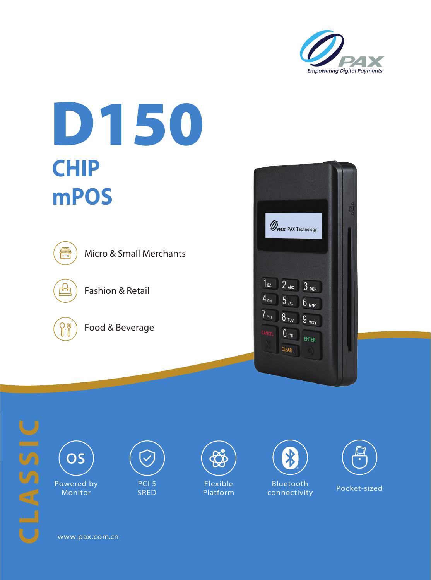

## D150 **CHIP mPOS** 回 **OPAX** PAX Technology Micro & Small Merchants  $1<sub>oz</sub> 2<sub>ABC</sub> 3<sub>DEF</sub>$ Fashion & Retail  $4$  GHI  $5_{\text{JKL}}$ **6** мно  $7$  PRS  $8$   $_{\rm{TV}}$  $9_{wxy}$  $\gamma$ Food & Beverage  $0, *$ CLEAR